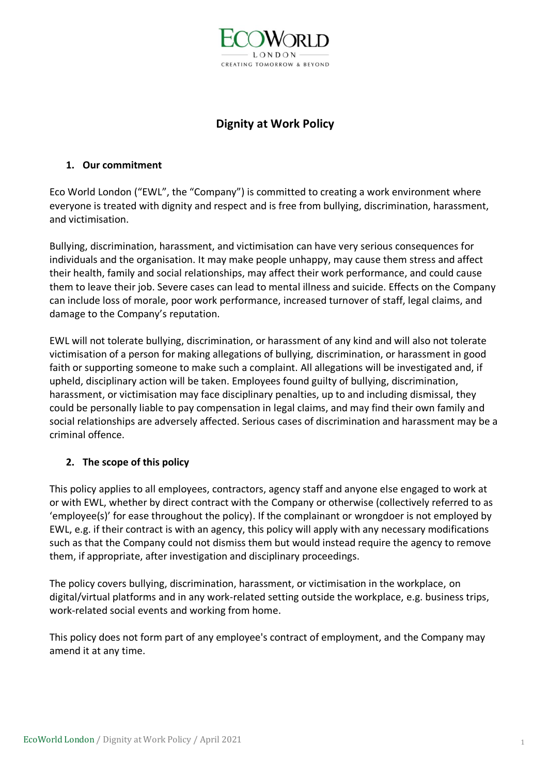

# **Dignity at Work Policy**

### **1. Our commitment**

Eco World London ("EWL", the "Company") is committed to creating a work environment where everyone is treated with dignity and respect and is free from bullying, discrimination, harassment, and victimisation.

Bullying, discrimination, harassment, and victimisation can have very serious consequences for individuals and the organisation. It may make people unhappy, may cause them stress and affect their health, family and social relationships, may affect their work performance, and could cause them to leave their job. Severe cases can lead to mental illness and suicide. Effects on the Company can include loss of morale, poor work performance, increased turnover of staff, legal claims, and damage to the Company's reputation.

EWL will not tolerate bullying, discrimination, or harassment of any kind and will also not tolerate victimisation of a person for making allegations of bullying, discrimination, or harassment in good faith or supporting someone to make such a complaint. All allegations will be investigated and, if upheld, disciplinary action will be taken. Employees found guilty of bullying, discrimination, harassment, or victimisation may face disciplinary penalties, up to and including dismissal, they could be personally liable to pay compensation in legal claims, and may find their own family and social relationships are adversely affected. Serious cases of discrimination and harassment may be a criminal offence.

# **2. The scope of this policy**

This policy applies to all employees, contractors, agency staff and anyone else engaged to work at or with EWL, whether by direct contract with the Company or otherwise (collectively referred to as 'employee(s)' for ease throughout the policy). If the complainant or wrongdoer is not employed by EWL, e.g. if their contract is with an agency, this policy will apply with any necessary modifications such as that the Company could not dismiss them but would instead require the agency to remove them, if appropriate, after investigation and disciplinary proceedings.

The policy covers bullying, discrimination, harassment, or victimisation in the workplace, on digital/virtual platforms and in any work-related setting outside the workplace, e.g. business trips, work-related social events and working from home.

This policy does not form part of any employee's contract of employment, and the Company may amend it at any time.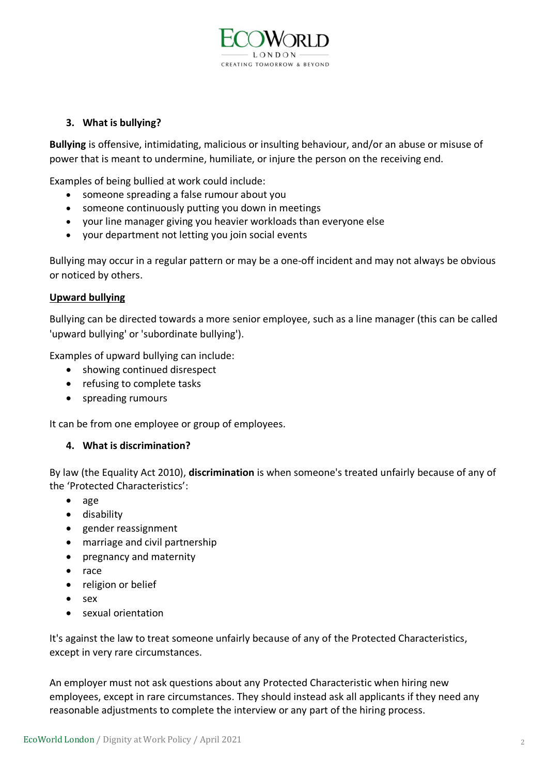

#### **3. What is bullying?**

**Bullying** is offensive, intimidating, malicious or insulting behaviour, and/or an abuse or misuse of power that is meant to undermine, humiliate, or injure the person on the receiving end.

Examples of being bullied at work could include:

- someone spreading a false rumour about you
- someone continuously putting you down in meetings
- your line manager giving you heavier workloads than everyone else
- your department not letting you join social events

Bullying may occur in a regular pattern or may be a one-off incident and may not always be obvious or noticed by others.

#### **Upward bullying**

Bullying can be directed towards a more senior employee, such as a line manager (this can be called 'upward bullying' or 'subordinate bullying').

Examples of upward bullying can include:

- showing continued disrespect
- refusing to complete tasks
- spreading rumours

It can be from one employee or group of employees.

#### **4. What is discrimination?**

By law (the Equality Act 2010), **discrimination** is when someone's treated unfairly because of any of the 'Protected Characteristics':

- [age](https://www.equalityhumanrights.com/en/equality-act/protected-characteristics#age)
- [disability](https://www.equalityhumanrights.com/en/equality-act/protected-characteristics#disability)
- [gender reassignment](https://www.equalityhumanrights.com/en/equality-act/protected-characteristics#reassignment)
- [marriage and civil partnership](https://www.equalityhumanrights.com/en/equality-act/protected-characteristics#marriage)
- [pregnancy and maternity](https://www.equalityhumanrights.com/en/equality-act/protected-characteristics#pregmat)
- [race](https://www.equalityhumanrights.com/en/equality-act/protected-characteristics#race)
- [religion or belief](https://www.equalityhumanrights.com/en/equality-act/protected-characteristics#rob)
- [sex](https://www.equalityhumanrights.com/en/equality-act/protected-characteristics#sex)
- [sexual orientation](https://www.equalityhumanrights.com/en/equality-act/protected-characteristics#lgb)

It's against the law to treat someone unfairly because of any of the Protected Characteristics, except in very rare circumstances.

An employer must not ask questions about any Protected Characteristic when hiring new employees, except in rare circumstances. They should instead ask all applicants if they need any reasonable adjustments to complete the interview or any part of the hiring process.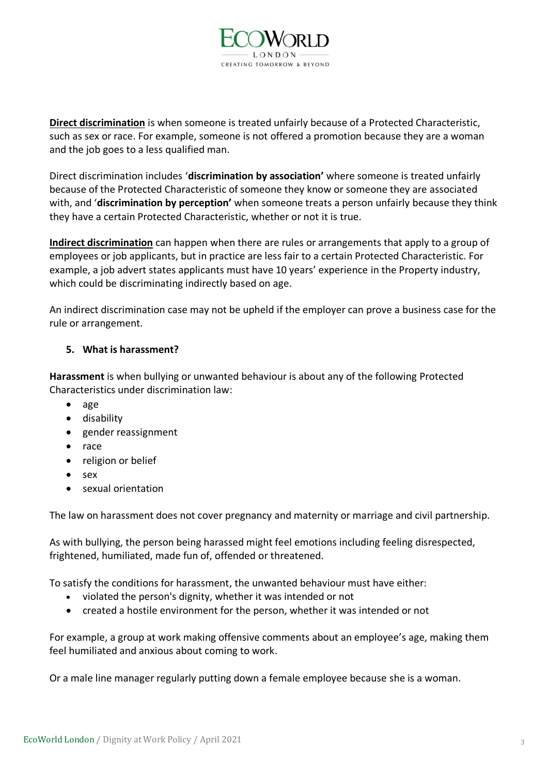

**Direct discrimination** is when someone is treated unfairly because of a Protected Characteristic, such as sex or race. For example, someone is not offered a promotion because they are a woman and the job goes to a less qualified man.

Direct discrimination includes '**discrimination by association'** where someone is treated unfairly because of the Protected Characteristic of someone they know or someone they are associated with, and '**discrimination by perception'** when someone treats a person unfairly because they think they have a certain Protected Characteristic, whether or not it is true.

**Indirect discrimination** can happen when there are rules or arrangements that apply to a group of employees or job applicants, but in practice are less fair to a certain Protected Characteristic. For example, a job advert states applicants must have 10 years' experience in the Property industry, which could be discriminating indirectly based on age.

An indirect discrimination case may not be upheld if the employer can prove a business case for the rule or arrangement.

### **5. What is harassment?**

**Harassment** is when bullying or unwanted behaviour is about any of the following Protected Characteristics under discrimination law:

- age
- disability
- gender reassignment
- race
- religion or belief
- sex
- sexual orientation

The law on harassment does not cover pregnancy and maternity or marriage and civil partnership.

As with bullying, the person being harassed might feel emotions including feeling disrespected, frightened, humiliated, made fun of, offended or threatened.

To satisfy the conditions for harassment, the unwanted behaviour must have either:

- violated the person's dignity, whether it was intended or not
- created a hostile environment for the person, whether it was intended or not

For example, a group at work making offensive comments about an employee's age, making them feel humiliated and anxious about coming to work.

Or a male line manager regularly putting down a female employee because she is a woman.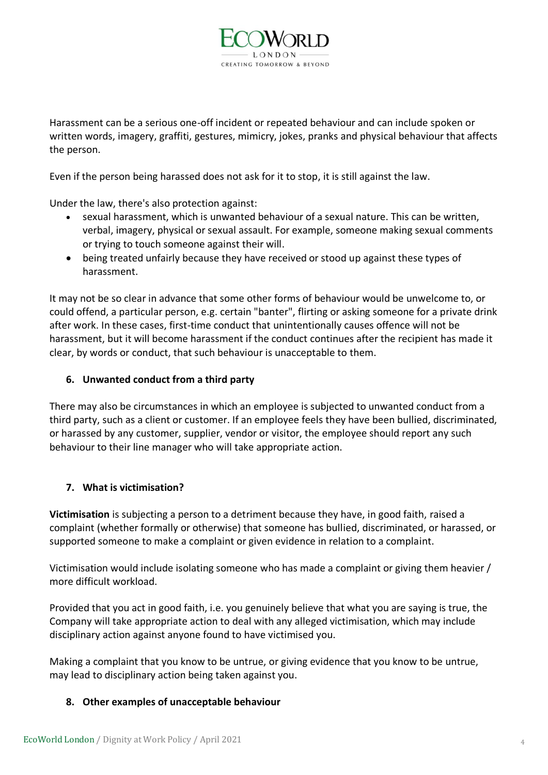

Harassment can be a serious one-off incident or repeated behaviour and can include spoken or written words, imagery, graffiti, gestures, mimicry, jokes, pranks and physical behaviour that affects the person.

Even if the person being harassed does not ask for it to stop, it is still against the law.

Under the law, there's also protection against:

- sexual harassment, which is unwanted behaviour of a sexual nature. This can be written, verbal, imagery, physical or sexual assault. For example, someone making sexual comments or trying to touch someone against their will.
- being treated unfairly because they have received or stood up against these types of harassment.

It may not be so clear in advance that some other forms of behaviour would be unwelcome to, or could offend, a particular person, e.g. certain "banter", flirting or asking someone for a private drink after work. In these cases, first-time conduct that unintentionally causes offence will not be harassment, but it will become harassment if the conduct continues after the recipient has made it clear, by words or conduct, that such behaviour is unacceptable to them.

### **6. Unwanted conduct from a third party**

There may also be circumstances in which an employee is subjected to unwanted conduct from a third party, such as a client or customer. If an employee feels they have been bullied, discriminated, or harassed by any customer, supplier, vendor or visitor, the employee should report any such behaviour to their line manager who will take appropriate action.

# **7. What is victimisation?**

**Victimisation** is subjecting a person to a detriment because they have, in good faith, raised a complaint (whether formally or otherwise) that someone has bullied, discriminated, or harassed, or supported someone to make a complaint or given evidence in relation to a complaint.

Victimisation would include isolating someone who has made a complaint or giving them heavier / more difficult workload.

Provided that you act in good faith, i.e. you genuinely believe that what you are saying is true, the Company will take appropriate action to deal with any alleged victimisation, which may include disciplinary action against anyone found to have victimised you.

Making a complaint that you know to be untrue, or giving evidence that you know to be untrue, may lead to disciplinary action being taken against you.

#### **8. Other examples of unacceptable behaviour**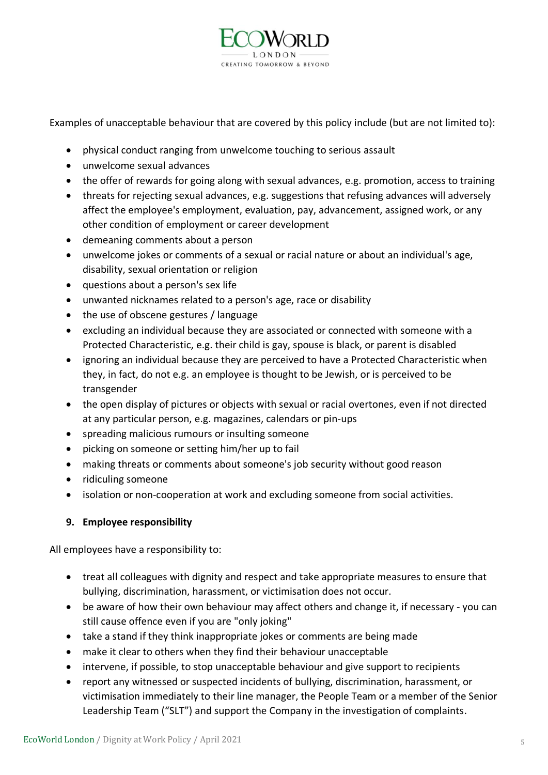

Examples of unacceptable behaviour that are covered by this policy include (but are not limited to):

- physical conduct ranging from unwelcome touching to serious assault
- unwelcome sexual advances
- the offer of rewards for going along with sexual advances, e.g. promotion, access to training
- threats for rejecting sexual advances, e.g. suggestions that refusing advances will adversely affect the employee's employment, evaluation, pay, advancement, assigned work, or any other condition of employment or career development
- demeaning comments about a person
- unwelcome jokes or comments of a sexual or racial nature or about an individual's age, disability, sexual orientation or religion
- questions about a person's sex life
- unwanted nicknames related to a person's age, race or disability
- the use of obscene gestures / language
- excluding an individual because they are associated or connected with someone with a Protected Characteristic, e.g. their child is gay, spouse is black, or parent is disabled
- ignoring an individual because they are perceived to have a Protected Characteristic when they, in fact, do not e.g. an employee is thought to be Jewish, or is perceived to be transgender
- the open display of pictures or objects with sexual or racial overtones, even if not directed at any particular person, e.g. magazines, calendars or pin-ups
- spreading malicious rumours or insulting someone
- picking on someone or setting him/her up to fail
- making threats or comments about someone's job security without good reason
- ridiculing someone
- isolation or non-cooperation at work and excluding someone from social activities.

# **9. Employee responsibility**

All employees have a responsibility to:

- treat all colleagues with dignity and respect and take appropriate measures to ensure that bullying, discrimination, harassment, or victimisation does not occur.
- be aware of how their own behaviour may affect others and change it, if necessary you can still cause offence even if you are "only joking"
- take a stand if they think inappropriate jokes or comments are being made
- make it clear to others when they find their behaviour unacceptable
- intervene, if possible, to stop unacceptable behaviour and give support to recipients
- report any witnessed or suspected incidents of bullying, discrimination, harassment, or victimisation immediately to their line manager, the People Team or a member of the Senior Leadership Team ("SLT") and support the Company in the investigation of complaints.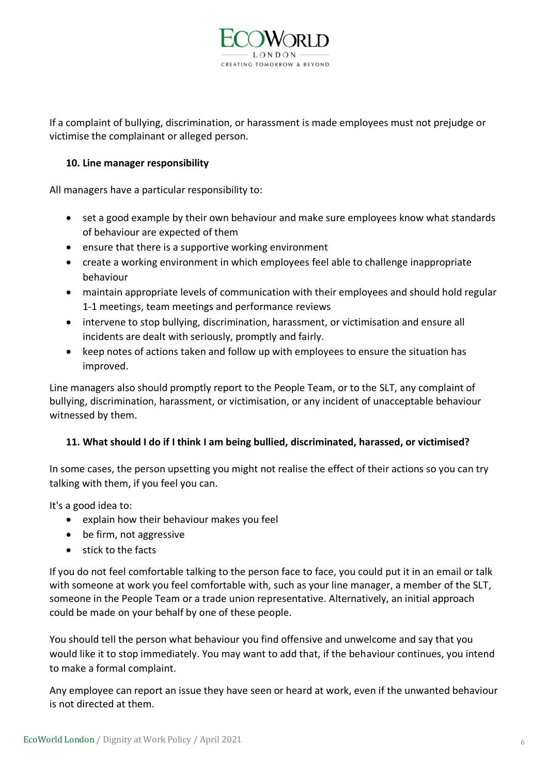

If a complaint of bullying, discrimination, or harassment is made employees must not prejudge or victimise the complainant or alleged person.

#### **10. Line manager responsibility**

All managers have a particular responsibility to:

- set a good example by their own behaviour and make sure employees know what standards of behaviour are expected of them
- ensure that there is a supportive working environment
- create a working environment in which employees feel able to challenge inappropriate behaviour
- maintain appropriate levels of communication with their employees and should hold regular 1-1 meetings, team meetings and performance reviews
- intervene to stop bullying, discrimination, harassment, or victimisation and ensure all incidents are dealt with seriously, promptly and fairly.
- keep notes of actions taken and follow up with employees to ensure the situation has improved.

Line managers also should promptly report to the People Team, or to the SLT, any complaint of bullying, discrimination, harassment, or victimisation, or any incident of unacceptable behaviour witnessed by them.

# **11. What should I do if I think I am being bullied, discriminated, harassed, or victimised?**

In some cases, the person upsetting you might not realise the effect of their actions so you can try talking with them, if you feel you can.

It's a good idea to:

- explain how their behaviour makes you feel
- be firm, not aggressive
- stick to the facts

If you do not feel comfortable talking to the person face to face, you could put it in an email or talk with someone at work you feel comfortable with, such as your line manager, a member of the SLT, someone in the People Team or a trade union representative. Alternatively, an initial approach could be made on your behalf by one of these people.

You should tell the person what behaviour you find offensive and unwelcome and say that you would like it to stop immediately. You may want to add that, if the behaviour continues, you intend to make a formal complaint.

Any employee can report an issue they have seen or heard at work, even if the unwanted behaviour is not directed at them.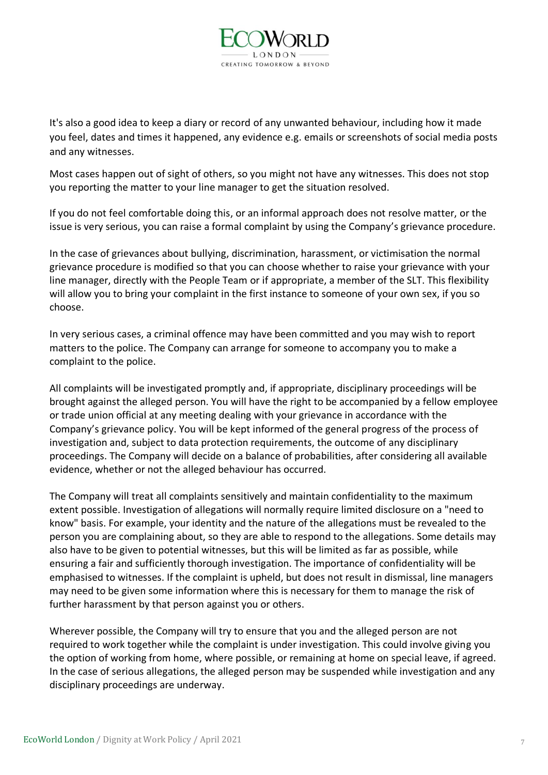

It's also a good idea to keep a diary or record of any unwanted behaviour, including how it made you feel, dates and times it happened, any evidence e.g. emails or screenshots of social media posts and any witnesses.

Most cases happen out of sight of others, so you might not have any witnesses. This does not stop you reporting the matter to your line manager to get the situation resolved.

If you do not feel comfortable doing this, or an informal approach does not resolve matter, or the issue is very serious, you can raise a formal complaint by using the Company's grievance procedure.

In the case of grievances about bullying, discrimination, harassment, or victimisation the normal grievance procedure is modified so that you can choose whether to raise your grievance with your line manager, directly with the People Team or if appropriate, a member of the SLT. This flexibility will allow you to bring your complaint in the first instance to someone of your own sex, if you so choose.

In very serious cases, a criminal offence may have been committed and you may wish to report matters to the police. The Company can arrange for someone to accompany you to make a complaint to the police.

All complaints will be investigated promptly and, if appropriate, disciplinary proceedings will be brought against the alleged person. You will have the right to be accompanied by a fellow employee or trade union official at any meeting dealing with your grievance in accordance with the Company's grievance policy. You will be kept informed of the general progress of the process of investigation and, subject to data protection requirements, the outcome of any disciplinary proceedings. The Company will decide on a balance of probabilities, after considering all available evidence, whether or not the alleged behaviour has occurred.

The Company will treat all complaints sensitively and maintain confidentiality to the maximum extent possible. Investigation of allegations will normally require limited disclosure on a "need to know" basis. For example, your identity and the nature of the allegations must be revealed to the person you are complaining about, so they are able to respond to the allegations. Some details may also have to be given to potential witnesses, but this will be limited as far as possible, while ensuring a fair and sufficiently thorough investigation. The importance of confidentiality will be emphasised to witnesses. If the complaint is upheld, but does not result in dismissal, line managers may need to be given some information where this is necessary for them to manage the risk of further harassment by that person against you or others.

Wherever possible, the Company will try to ensure that you and the alleged person are not required to work together while the complaint is under investigation. This could involve giving you the option of working from home, where possible, or remaining at home on special leave, if agreed. In the case of serious allegations, the alleged person may be suspended while investigation and any disciplinary proceedings are underway.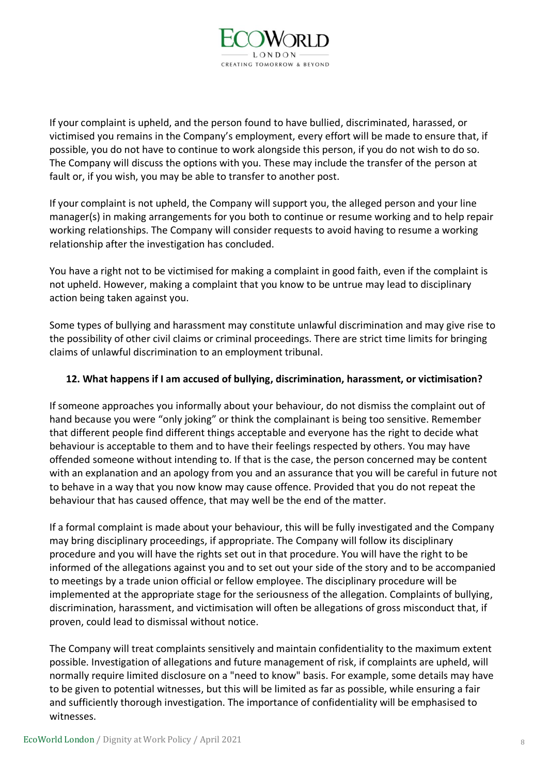

If your complaint is upheld, and the person found to have bullied, discriminated, harassed, or victimised you remains in the Company's employment, every effort will be made to ensure that, if possible, you do not have to continue to work alongside this person, if you do not wish to do so. The Company will discuss the options with you. These may include the transfer of the person at fault or, if you wish, you may be able to transfer to another post.

If your complaint is not upheld, the Company will support you, the alleged person and your line manager(s) in making arrangements for you both to continue or resume working and to help repair working relationships. The Company will consider requests to avoid having to resume a working relationship after the investigation has concluded.

You have a right not to be victimised for making a complaint in good faith, even if the complaint is not upheld. However, making a complaint that you know to be untrue may lead to disciplinary action being taken against you.

Some types of bullying and harassment may constitute unlawful discrimination and may give rise to the possibility of other civil claims or criminal proceedings. There are strict time limits for bringing claims of unlawful discrimination to an employment tribunal.

# **12. What happens if I am accused of bullying, discrimination, harassment, or victimisation?**

If someone approaches you informally about your behaviour, do not dismiss the complaint out of hand because you were "only joking" or think the complainant is being too sensitive. Remember that different people find different things acceptable and everyone has the right to decide what behaviour is acceptable to them and to have their feelings respected by others. You may have offended someone without intending to. If that is the case, the person concerned may be content with an explanation and an apology from you and an assurance that you will be careful in future not to behave in a way that you now know may cause offence. Provided that you do not repeat the behaviour that has caused offence, that may well be the end of the matter.

If a formal complaint is made about your behaviour, this will be fully investigated and the Company may bring disciplinary proceedings, if appropriate. The Company will follow its disciplinary procedure and you will have the rights set out in that procedure. You will have the right to be informed of the allegations against you and to set out your side of the story and to be accompanied to meetings by a trade union official or fellow employee. The disciplinary procedure will be implemented at the appropriate stage for the seriousness of the allegation. Complaints of bullying, discrimination, harassment, and victimisation will often be allegations of gross misconduct that, if proven, could lead to dismissal without notice.

The Company will treat complaints sensitively and maintain confidentiality to the maximum extent possible. Investigation of allegations and future management of risk, if complaints are upheld, will normally require limited disclosure on a "need to know" basis. For example, some details may have to be given to potential witnesses, but this will be limited as far as possible, while ensuring a fair and sufficiently thorough investigation. The importance of confidentiality will be emphasised to witnesses.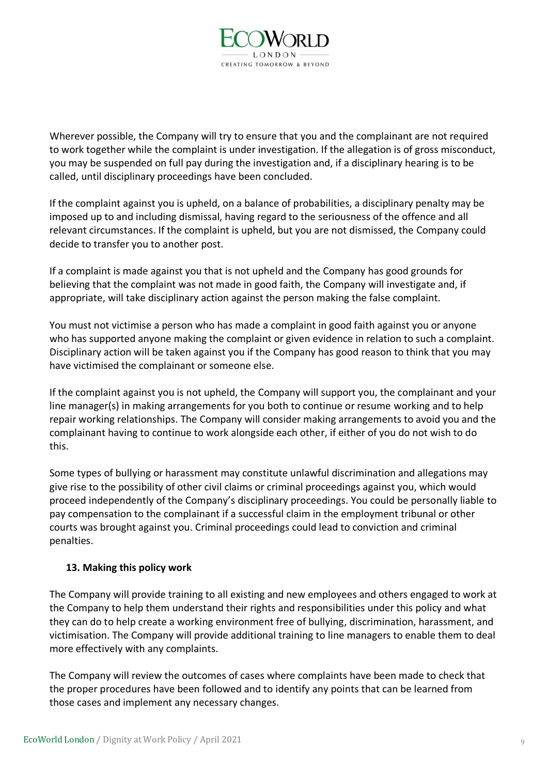

Wherever possible, the Company will try to ensure that you and the complainant are not required to work together while the complaint is under investigation. If the allegation is of gross misconduct, you may be suspended on full pay during the investigation and, if a disciplinary hearing is to be called, until disciplinary proceedings have been concluded.

If the complaint against you is upheld, on a balance of probabilities, a disciplinary penalty may be imposed up to and including dismissal, having regard to the seriousness of the offence and all relevant circumstances. If the complaint is upheld, but you are not dismissed, the Company could decide to transfer you to another post.

If a complaint is made against you that is not upheld and the Company has good grounds for believing that the complaint was not made in good faith, the Company will investigate and, if appropriate, will take disciplinary action against the person making the false complaint.

You must not victimise a person who has made a complaint in good faith against you or anyone who has supported anyone making the complaint or given evidence in relation to such a complaint. Disciplinary action will be taken against you if the Company has good reason to think that you may have victimised the complainant or someone else.

If the complaint against you is not upheld, the Company will support you, the complainant and your line manager(s) in making arrangements for you both to continue or resume working and to help repair working relationships. The Company will consider making arrangements to avoid you and the complainant having to continue to work alongside each other, if either of you do not wish to do this.

Some types of bullying or harassment may constitute unlawful discrimination and allegations may give rise to the possibility of other civil claims or criminal proceedings against you, which would proceed independently of the Company's disciplinary proceedings. You could be personally liable to pay compensation to the complainant if a successful claim in the employment tribunal or other courts was brought against you. Criminal proceedings could lead to conviction and criminal penalties.

# **13. Making this policy work**

The Company will provide training to all existing and new employees and others engaged to work at the Company to help them understand their rights and responsibilities under this policy and what they can do to help create a working environment free of bullying, discrimination, harassment, and victimisation. The Company will provide additional training to line managers to enable them to deal more effectively with any complaints.

The Company will review the outcomes of cases where complaints have been made to check that the proper procedures have been followed and to identify any points that can be learned from those cases and implement any necessary changes.